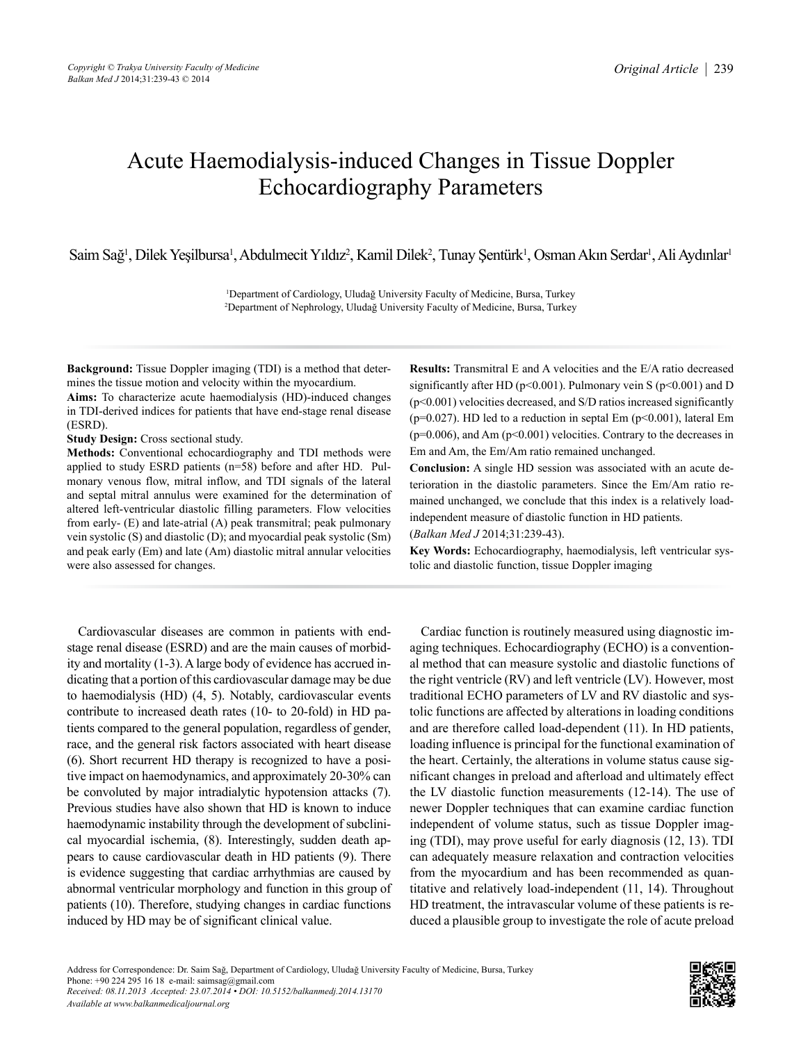# Acute Haemodialysis-induced Changes in Tissue Doppler Echocardiography Parameters

Saim Sağ<sup>ı</sup>, Dilek Yeşilbursa<sup>ı</sup>, Abdulmecit Yıldız<sup>2</sup>, Kamil Dilek<sup>2</sup>, Tunay Şentürk<sup>ı</sup>, Osman Akın Serdar<sup>ı</sup>, Ali Aydınlar<sup>ı</sup>

1 Department of Cardiology, Uludağ University Faculty of Medicine, Bursa, Turkey 2 Department of Nephrology, Uludağ University Faculty of Medicine, Bursa, Turkey

**Background:** Tissue Doppler imaging (TDI) is a method that determines the tissue motion and velocity within the myocardium.

**Aims:** To characterize acute haemodialysis (HD)-induced changes in TDI-derived indices for patients that have end-stage renal disease (ESRD).

**Study Design:** Cross sectional study.

**Methods:** Conventional echocardiography and TDI methods were applied to study ESRD patients (n=58) before and after HD. Pulmonary venous flow, mitral inflow, and TDI signals of the lateral and septal mitral annulus were examined for the determination of altered left-ventricular diastolic filling parameters. Flow velocities from early- (E) and late-atrial (A) peak transmitral; peak pulmonary vein systolic (S) and diastolic (D); and myocardial peak systolic (Sm) and peak early (Em) and late (Am) diastolic mitral annular velocities were also assessed for changes.

Cardiovascular diseases are common in patients with endstage renal disease (ESRD) and are the main causes of morbidity and mortality (1-3).Alarge body of evidence has accrued indicating that a portion of this cardiovascular damage may be due to haemodialysis (HD) (4, 5). Notably, cardiovascular events contribute to increased death rates (10- to 20-fold) in HD patients compared to the general population, regardless of gender, race, and the general risk factors associated with heart disease (6). Short recurrent HD therapy is recognized to have a positive impact on haemodynamics, and approximately 20-30% can be convoluted by major intradialytic hypotension attacks (7). Previous studies have also shown that HD is known to induce haemodynamic instability through the development of subclinical myocardial ischemia, (8). Interestingly, sudden death appears to cause cardiovascular death in HD patients (9). There is evidence suggesting that cardiac arrhythmias are caused by abnormal ventricular morphology and function in this group of patients (10). Therefore, studying changes in cardiac functions induced by HD may be of significant clinical value.

**Results:** Transmitral E and A velocities and the E/A ratio decreased significantly after HD ( $p$ <0.001). Pulmonary vein S ( $p$ <0.001) and D (p<0.001) velocities decreased, and S/D ratios increased significantly ( $p=0.027$ ). HD led to a reduction in septal Em ( $p<0.001$ ), lateral Em  $(p=0.006)$ , and Am  $(p<0.001)$  velocities. Contrary to the decreases in Em and Am, the Em/Am ratio remained unchanged.

**Conclusion:** A single HD session was associated with an acute deterioration in the diastolic parameters. Since the Em/Am ratio remained unchanged, we conclude that this index is a relatively loadindependent measure of diastolic function in HD patients. (*Balkan Med J* 2014;31:239-43).

**Key Words:** Echocardiography, haemodialysis, left ventricular systolic and diastolic function, tissue Doppler imaging

Cardiac function is routinely measured using diagnostic imaging techniques. Echocardiography (ECHO) is a conventional method that can measure systolic and diastolic functions of the right ventricle (RV) and left ventricle (LV). However, most traditional ECHO parameters of LV and RV diastolic and systolic functions are affected by alterations in loading conditions and are therefore called load-dependent (11). In HD patients, loading influence is principal for the functional examination of the heart. Certainly, the alterations in volume status cause significant changes in preload and afterload and ultimately effect the LV diastolic function measurements (12-14). The use of newer Doppler techniques that can examine cardiac function independent of volume status, such as tissue Doppler imaging (TDI), may prove useful for early diagnosis (12, 13). TDI can adequately measure relaxation and contraction velocities from the myocardium and has been recommended as quantitative and relatively load-independent (11, 14). Throughout HD treatment, the intravascular volume of these patients is reduced a plausible group to investigate the role of acute preload

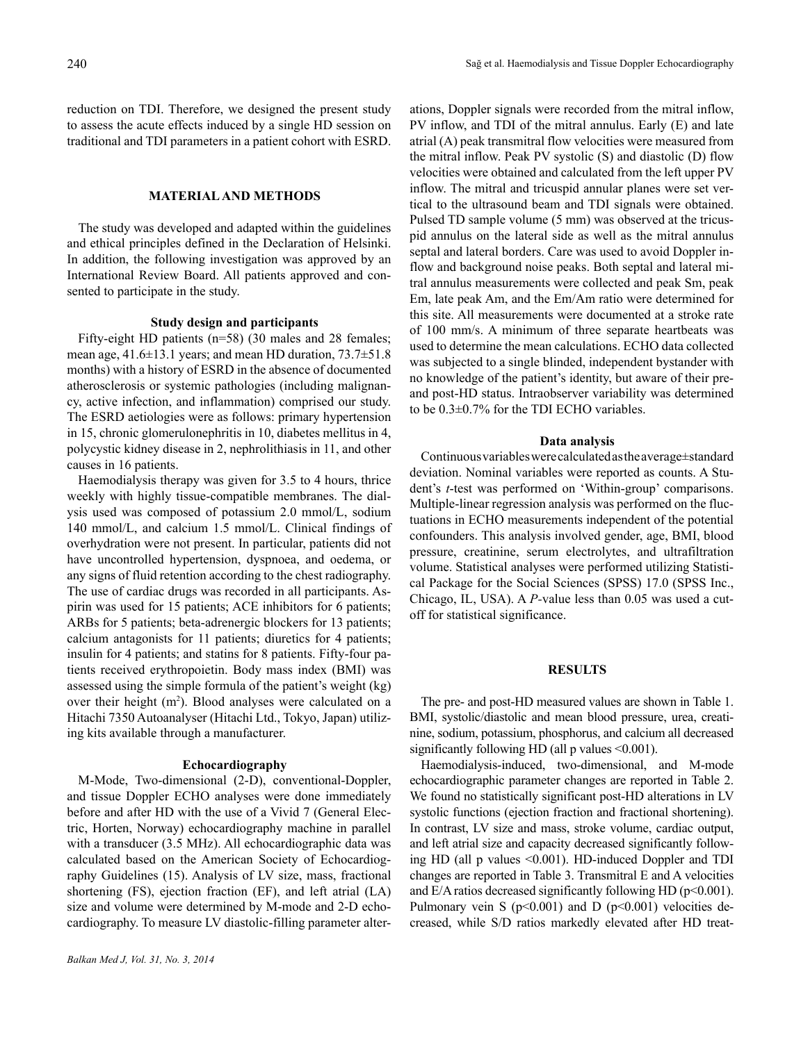reduction on TDI. Therefore, we designed the present study to assess the acute effects induced by a single HD session on traditional and TDI parameters in a patient cohort with ESRD.

## **MATERIAL AND METHODS**

The study was developed and adapted within the guidelines and ethical principles defined in the Declaration of Helsinki. In addition, the following investigation was approved by an International Review Board. All patients approved and consented to participate in the study.

## **Study design and participants**

Fifty-eight HD patients (n=58) (30 males and 28 females; mean age, 41.6±13.1 years; and mean HD duration, 73.7±51.8 months) with a history of ESRD in the absence of documented atherosclerosis or systemic pathologies (including malignancy, active infection, and inflammation) comprised our study. The ESRD aetiologies were as follows: primary hypertension in 15, chronic glomerulonephritis in 10, diabetes mellitus in 4, polycystic kidney disease in 2, nephrolithiasis in 11, and other causes in 16 patients.

Haemodialysis therapy was given for 3.5 to 4 hours, thrice weekly with highly tissue-compatible membranes. The dialysis used was composed of potassium 2.0 mmol/L, sodium 140 mmol/L, and calcium 1.5 mmol/L. Clinical findings of overhydration were not present. In particular, patients did not have uncontrolled hypertension, dyspnoea, and oedema, or any signs of fluid retention according to the chest radiography. The use of cardiac drugs was recorded in all participants. Aspirin was used for 15 patients; ACE inhibitors for 6 patients; ARBs for 5 patients; beta-adrenergic blockers for 13 patients; calcium antagonists for 11 patients; diuretics for 4 patients; insulin for 4 patients; and statins for 8 patients. Fifty-four patients received erythropoietin. Body mass index (BMI) was assessed using the simple formula of the patient's weight (kg) over their height (m<sup>2</sup>). Blood analyses were calculated on a Hitachi 7350 Autoanalyser (Hitachi Ltd., Tokyo, Japan) utilizing kits available through a manufacturer.

#### **Echocardiography**

M-Mode, Two-dimensional (2-D), conventional-Doppler, and tissue Doppler ECHO analyses were done immediately before and after HD with the use of a Vivid 7 (General Electric, Horten, Norway) echocardiography machine in parallel with a transducer (3.5 MHz). All echocardiographic data was calculated based on the American Society of Echocardiography Guidelines (15). Analysis of LV size, mass, fractional shortening (FS), ejection fraction (EF), and left atrial (LA) size and volume were determined by M-mode and 2-D echocardiography. To measure LV diastolic-filling parameter alter-

ations, Doppler signals were recorded from the mitral inflow, PV inflow, and TDI of the mitral annulus. Early (E) and late atrial (A) peak transmitral flow velocities were measured from the mitral inflow. Peak PV systolic (S) and diastolic (D) flow velocities were obtained and calculated from the left upper PV inflow. The mitral and tricuspid annular planes were set vertical to the ultrasound beam and TDI signals were obtained. Pulsed TD sample volume (5 mm) was observed at the tricuspid annulus on the lateral side as well as the mitral annulus septal and lateral borders. Care was used to avoid Doppler inflow and background noise peaks. Both septal and lateral mitral annulus measurements were collected and peak Sm, peak Em, late peak Am, and the Em/Am ratio were determined for this site. All measurements were documented at a stroke rate of 100 mm/s. A minimum of three separate heartbeats was used to determine the mean calculations. ECHO data collected was subjected to a single blinded, independent bystander with no knowledge of the patient's identity, but aware of their preand post-HD status. Intraobserver variability was determined to be 0.3±0.7% for the TDI ECHO variables.

#### **Data analysis**

Continuousvariableswerecalculatedastheaverage±standard deviation. Nominal variables were reported as counts. A Student's *t*-test was performed on 'Within-group' comparisons. Multiple-linear regression analysis was performed on the fluctuations in ECHO measurements independent of the potential confounders. This analysis involved gender, age, BMI, blood pressure, creatinine, serum electrolytes, and ultrafiltration volume. Statistical analyses were performed utilizing Statistical Package for the Social Sciences (SPSS) 17.0 (SPSS Inc., Chicago, IL, USA). A *P-*value less than 0.05 was used a cutoff for statistical significance.

#### **RESULTS**

The pre- and post-HD measured values are shown in Table 1. BMI, systolic/diastolic and mean blood pressure, urea, creatinine, sodium, potassium, phosphorus, and calcium all decreased significantly following HD (all  $p$  values  $\leq 0.001$ ).

Haemodialysis-induced, two-dimensional, and M-mode echocardiographic parameter changes are reported in Table 2. We found no statistically significant post-HD alterations in LV systolic functions (ejection fraction and fractional shortening). In contrast, LV size and mass, stroke volume, cardiac output, and left atrial size and capacity decreased significantly following HD (all p values <0.001). HD-induced Doppler and TDI changes are reported in Table 3. Transmitral E and A velocities and  $E/A$  ratios decreased significantly following HD ( $p<0.001$ ). Pulmonary vein S ( $p<0.001$ ) and D ( $p<0.001$ ) velocities decreased, while S/D ratios markedly elevated after HD treat-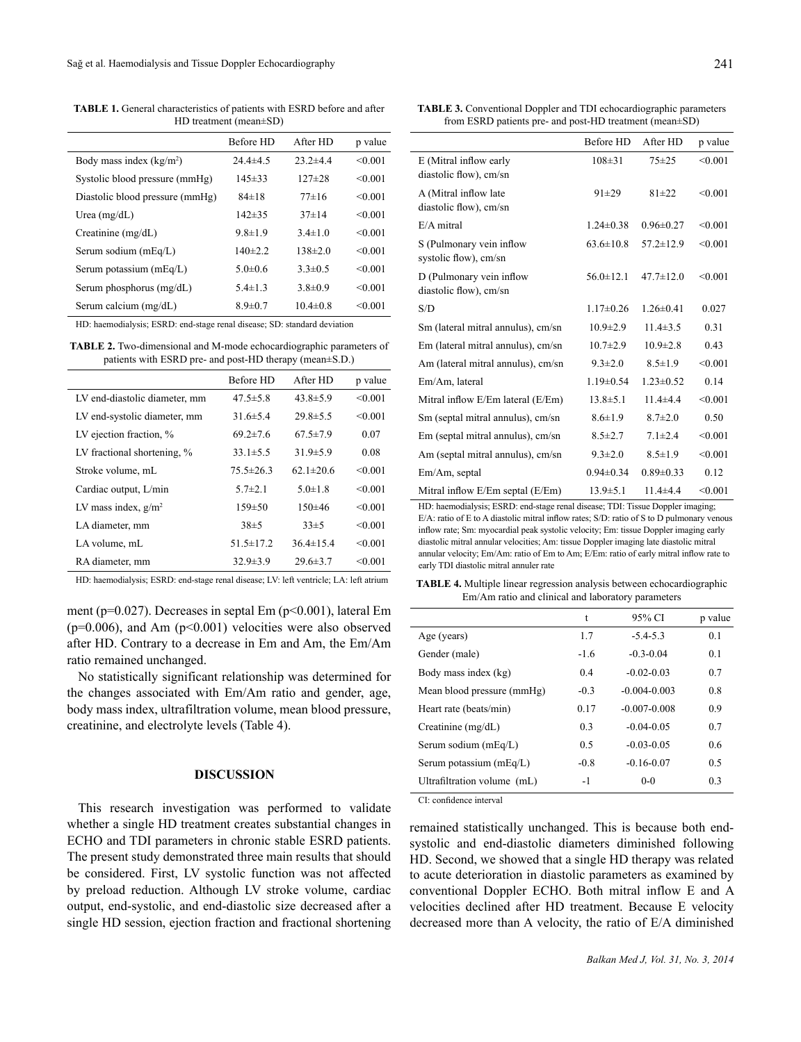**TABLE 1.** General characteristics of patients with ESRD before and after HD treatment (mean±SD)

|                                 | <b>Before HD</b> | After HD       | p value |
|---------------------------------|------------------|----------------|---------|
| Body mass index $(kg/m2)$       | $24.4 \pm 4.5$   | $23.2 \pm 4.4$ | < 0.001 |
| Systolic blood pressure (mmHg)  | $145 \pm 33$     | $127 + 28$     | < 0.001 |
| Diastolic blood pressure (mmHg) | $84\pm18$        | $77\pm16$      | < 0.001 |
| Urea $(mg/dL)$                  | $142\pm35$       | $37 + 14$      | < 0.001 |
| Creatinine $(mg/dL)$            | $9.8 \pm 1.9$    | $3.4 \pm 1.0$  | < 0.001 |
| Serum sodium (mEq/L)            | $140\pm 2.2$     | $138\pm2.0$    | < 0.001 |
| Serum potassium (mEq/L)         | $5.0\pm0.6$      | $3.3 \pm 0.5$  | < 0.001 |
| Serum phosphorus (mg/dL)        | $5.4 \pm 1.3$    | $3.8 \pm 0.9$  | < 0.001 |
| Serum calcium (mg/dL)           | $8.9 \pm 0.7$    | $10.4 \pm 0.8$ | < 0.001 |

HD: haemodialysis; ESRD: end-stage renal disease; SD: standard deviation

**TABLE 2.** Two-dimensional and M-mode echocardiographic parameters of patients with ESRD pre- and post-HD therapy (mean±S.D.)

|                               | Before HD       | After HD       | p value |
|-------------------------------|-----------------|----------------|---------|
| LV end-diastolic diameter, mm | $47.5 \pm 5.8$  | $43.8 \pm 5.9$ | < 0.001 |
| LV end-systolic diameter, mm  | $31.6 \pm 5.4$  | $29.8 \pm 5.5$ | < 0.001 |
| LV ejection fraction, %       | $69.2 \pm 7.6$  | $67.5 \pm 7.9$ | 0.07    |
| LV fractional shortening, %   | $33.1 \pm 5.5$  | $31.9 \pm 5.9$ | 0.08    |
| Stroke volume, mL             | $75.5 \pm 26.3$ | $62.1\pm20.6$  | < 0.001 |
| Cardiac output, L/min         | $5.7\pm2.1$     | $5.0 \pm 1.8$  | < 0.001 |
| LV mass index, $g/m^2$        | $159 \pm 50$    | $150\pm 46$    | < 0.001 |
| LA diameter, mm               | $38\pm5$        | $33\pm5$       | < 0.001 |
| LA volume, mL                 | $51.5 \pm 17.2$ | $364\pm154$    | < 0.001 |
| RA diameter, mm               | $32.9 \pm 3.9$  | $29.6 \pm 3.7$ | < 0.001 |

HD: haemodialysis; ESRD: end-stage renal disease; LV: left ventricle; LA: left atrium

ment (p=0.027). Decreases in septal Em (p<0.001), lateral Em  $(p=0.006)$ , and Am  $(p<0.001)$  velocities were also observed after HD. Contrary to a decrease in Em and Am, the Em/Am ratio remained unchanged.

No statistically significant relationship was determined for the changes associated with Em/Am ratio and gender, age, body mass index, ultrafiltration volume, mean blood pressure, creatinine, and electrolyte levels (Table 4).

#### **DISCUSSION**

This research investigation was performed to validate whether a single HD treatment creates substantial changes in ECHO and TDI parameters in chronic stable ESRD patients. The present study demonstrated three main results that should be considered. First, LV systolic function was not affected by preload reduction. Although LV stroke volume, cardiac output, end-systolic, and end-diastolic size decreased after a single HD session, ejection fraction and fractional shortening

**TABLE 3.** Conventional Doppler and TDI echocardiographic parameters from ESRD patients pre- and post-HD treatment (mean±SD)

|                                    | <b>Before HD</b> | After HD        | p value |
|------------------------------------|------------------|-----------------|---------|
| E (Mitral inflow early             | $108 \pm 31$     | $75 + 25$       | < 0.001 |
| diastolic flow), cm/sn             |                  |                 |         |
| A (Mitral inflow late              | $91 \pm 29$      | $81 + 22$       | < 0.001 |
| diastolic flow), cm/sn             |                  |                 |         |
| $E/A$ mitral                       | $1.24 \pm 0.38$  | $0.96 \pm 0.27$ | < 0.001 |
| S (Pulmonary vein inflow           | $63.6 \pm 10.8$  | $57.2 \pm 12.9$ | < 0.001 |
| systolic flow), cm/sn              |                  |                 |         |
| D (Pulmonary vein inflow           | $56.0 \pm 12.1$  | $47.7 \pm 12.0$ | < 0.001 |
| diastolic flow), cm/sn             |                  |                 |         |
| S/D                                | $1.17\pm0.26$    | $1.26 \pm 0.41$ | 0.027   |
| Sm (lateral mitral annulus), cm/sn | $10.9 \pm 2.9$   | $11.4 \pm 3.5$  | 0.31    |
| Em (lateral mitral annulus), cm/sn | $10.7 \pm 2.9$   | $10.9 \pm 2.8$  | 0.43    |
| Am (lateral mitral annulus), cm/sn | $9.3 \pm 2.0$    | $8.5 \pm 1.9$   | < 0.001 |
| Em/Am, lateral                     | $1.19 \pm 0.54$  | $1.23 \pm 0.52$ | 0.14    |
| Mitral inflow E/Em lateral (E/Em)  | $13.8 \pm 5.1$   | $11.4 + 4.4$    | < 0.001 |
| Sm (septal mitral annulus), cm/sn  | $8.6 \pm 1.9$    | $8.7 \pm 2.0$   | 0.50    |
| Em (septal mitral annulus), cm/sn  | $8.5 \pm 2.7$    | $7.1 \pm 2.4$   | < 0.001 |
| Am (septal mitral annulus), cm/sn  | $9.3 \pm 2.0$    | $8.5 \pm 1.9$   | < 0.001 |
| Em/Am, septal                      | $0.94 \pm 0.34$  | $0.89 \pm 0.33$ | 0.12    |
| Mitral inflow E/Em septal (E/Em)   | $13.9 \pm 5.1$   | $11.4 + 4.4$    | < 0.001 |

HD: haemodialysis; ESRD: end-stage renal disease; TDI: Tissue Doppler imaging; E/A: ratio of E to A diastolic mitral inflow rates; S/D: ratio of S to D pulmonary venous inflow rate; Sm: myocardial peak systolic velocity; Em: tissue Doppler imaging early diastolic mitral annular velocities; Am: tissue Doppler imaging late diastolic mitral annular velocity; Em/Am: ratio of Em to Am; E/Em: ratio of early mitral inflow rate to early TDI diastolic mitral annuler rate

**TABLE 4.** Multiple linear regression analysis between echocardiographic Em/Am ratio and clinical and laboratory parameters

|                             | t      | 95% CI           | p value |
|-----------------------------|--------|------------------|---------|
| Age (years)                 | 1.7    | $-5.4 - 5.3$     | 0.1     |
| Gender (male)               | $-1.6$ | $-0.3 - 0.04$    | 0.1     |
| Body mass index (kg)        | 0.4    | $-0.02 - 0.03$   | 0.7     |
| Mean blood pressure (mmHg)  | $-0.3$ | $-0.004 - 0.003$ | 0.8     |
| Heart rate (beats/min)      | 0.17   | $-0.007 - 0.008$ | 0.9     |
| Creatinine $(mg/dL)$        | 0.3    | $-0.04 - 0.05$   | 0.7     |
| Serum sodium (mEq/L)        | 0.5    | $-0.03 - 0.05$   | 06      |
| Serum potassium (mEq/L)     | $-0.8$ | $-0.16 - 0.07$   | 0.5     |
| Ultrafiltration volume (mL) | -1     | $0 - 0$          | 0.3     |
|                             |        |                  |         |

CI: confidence interval

remained statistically unchanged. This is because both endsystolic and end-diastolic diameters diminished following HD. Second, we showed that a single HD therapy was related to acute deterioration in diastolic parameters as examined by conventional Doppler ECHO. Both mitral inflow E and A velocities declined after HD treatment. Because E velocity decreased more than A velocity, the ratio of E/A diminished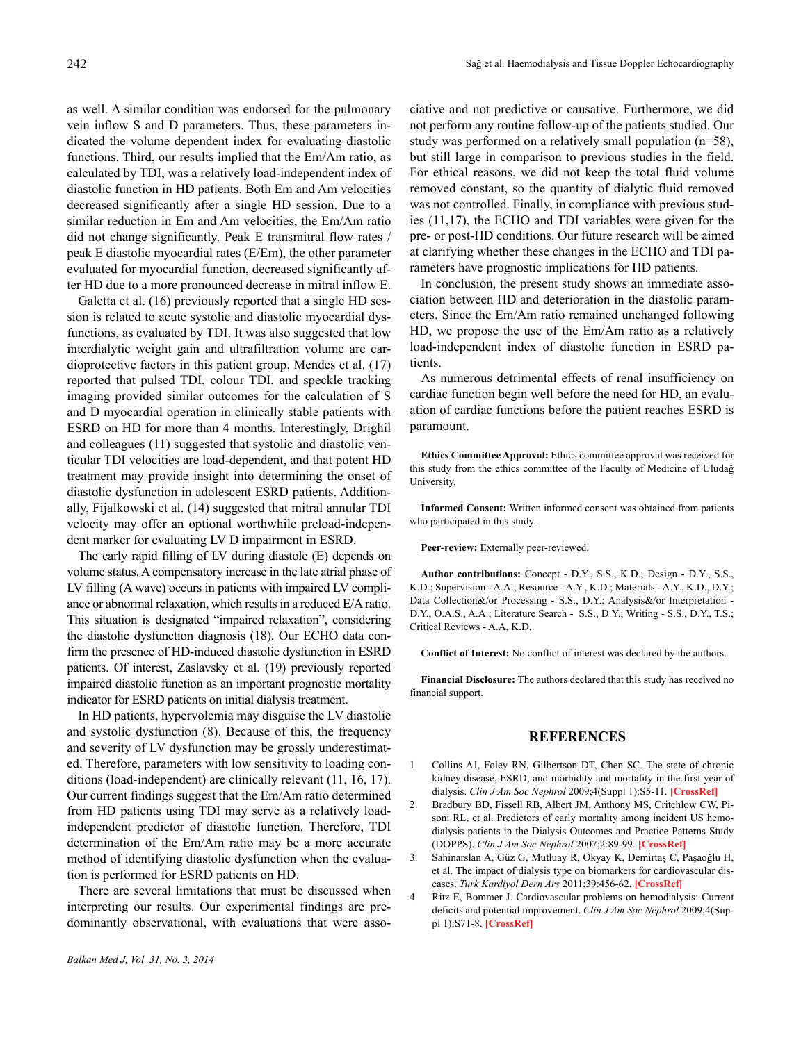as well. A similar condition was endorsed for the pulmonary vein inflow S and D parameters. Thus, these parameters indicated the volume dependent index for evaluating diastolic functions. Third, our results implied that the Em/Am ratio, as calculated by TDI, was a relatively load-independent index of diastolic function in HD patients. Both Em and Am velocities decreased significantly after a single HD session. Due to a similar reduction in Em and Am velocities, the Em/Am ratio did not change significantly. Peak E transmitral flow rates / peak E diastolic myocardial rates (E/Em), the other parameter evaluated for myocardial function, decreased significantly after HD due to a more pronounced decrease in mitral inflow E.

Galetta et al. (16) previously reported that a single HD session is related to acute systolic and diastolic myocardial dysfunctions, as evaluated by TDI. It was also suggested that low interdialytic weight gain and ultrafiltration volume are cardioprotective factors in this patient group. Mendes et al. (17) reported that pulsed TDI, colour TDI, and speckle tracking imaging provided similar outcomes for the calculation of S and D myocardial operation in clinically stable patients with ESRD on HD for more than 4 months. Interestingly, Drighil and colleagues (11) suggested that systolic and diastolic venticular TDI velocities are load-dependent, and that potent HD treatment may provide insight into determining the onset of diastolic dysfunction in adolescent ESRD patients. Additionally, Fijalkowski et al. (14) suggested that mitral annular TDI velocity may offer an optional worthwhile preload-independent marker for evaluating LV D impairment in ESRD.

The early rapid filling of LV during diastole (E) depends on volume status.Acompensatory increase in the late atrial phase of LV filling (A wave) occurs in patients with impaired LV compliance or abnormal relaxation, which results in a reduced E/A ratio. This situation is designated "impaired relaxation", considering the diastolic dysfunction diagnosis (18). Our ECHO data confirm the presence of HD-induced diastolic dysfunction in ESRD patients. Of interest, Zaslavsky et al. (19) previously reported impaired diastolic function as an important prognostic mortality indicator for ESRD patients on initial dialysis treatment.

In HD patients, hypervolemia may disguise the LV diastolic and systolic dysfunction (8). Because of this, the frequency and severity of LV dysfunction may be grossly underestimated. Therefore, parameters with low sensitivity to loading conditions (load-independent) are clinically relevant (11, 16, 17). Our current findings suggest that the Em/Am ratio determined from HD patients using TDI may serve as a relatively loadindependent predictor of diastolic function. Therefore, TDI determination of the Em/Am ratio may be a more accurate method of identifying diastolic dysfunction when the evaluation is performed for ESRD patients on HD.

There are several limitations that must be discussed when interpreting our results. Our experimental findings are predominantly observational, with evaluations that were associative and not predictive or causative. Furthermore, we did not perform any routine follow-up of the patients studied. Our study was performed on a relatively small population (n=58), but still large in comparison to previous studies in the field. For ethical reasons, we did not keep the total fluid volume removed constant, so the quantity of dialytic fluid removed was not controlled. Finally, in compliance with previous studies (11,17), the ECHO and TDI variables were given for the pre- or post-HD conditions. Our future research will be aimed at clarifying whether these changes in the ECHO and TDI parameters have prognostic implications for HD patients.

In conclusion, the present study shows an immediate association between HD and deterioration in the diastolic parameters. Since the Em/Am ratio remained unchanged following HD, we propose the use of the Em/Am ratio as a relatively load-independent index of diastolic function in ESRD patients.

As numerous detrimental effects of renal insufficiency on cardiac function begin well before the need for HD, an evaluation of cardiac functions before the patient reaches ESRD is paramount.

**Ethics Committee Approval:** Ethics committee approval was received for this study from the ethics committee of the Faculty of Medicine of Uludağ University.

**Informed Consent:** Written informed consent was obtained from patients who participated in this study.

**Peer-review:** Externally peer-reviewed.

**Author contributions:** Concept - D.Y., S.S., K.D.; Design - D.Y., S.S., K.D.; Supervision - A.A.; Resource - A.Y., K.D.; Materials - A.Y., K.D., D.Y.; Data Collection&/or Processing - S.S., D.Y.; Analysis&/or Interpretation -D.Y., O.A.S., A.A.; Literature Search - S.S., D.Y.; Writing - S.S., D.Y., T.S.; Critical Reviews - A.A, K.D.

**Conflict of Interest:** No conflict of interest was declared by the authors.

**Financial Disclosure:** The authors declared that this study has received no financial support.

# **REFERENCES**

- 1. Collins AJ, Foley RN, Gilbertson DT, Chen SC. The state of chronic kidney disease, ESRD, and morbidity and mortality in the first year of dialysis. *Clin J Am Soc Nephrol* 2009;4(Suppl 1):S5-11. **[\[CrossRef\]](http://dx.doi.org/10.2215/CJN.05980809)**
- 2. Bradbury BD, Fissell RB, Albert JM, Anthony MS, Critchlow CW, Pisoni RL, et al. Predictors of early mortality among incident US hemodialysis patients in the Dialysis Outcomes and Practice Patterns Study (DOPPS). *Clin J Am Soc Nephrol* 2007;2:89-99. **[\[CrossRef\]](http://dx.doi.org/10.2215/CJN.01170905)**
- 3. Sahinarslan A, Güz G, Mutluay R, Okyay K, Demirtaş C, Paşaoğlu H, et al. The impact of dialysis type on biomarkers for cardiovascular diseases. *Turk Kardiyol Dern Ars* 2011;39:456-62. **[\[CrossRef\]](http://dx.doi.org/10.5543/tkda.2011.01289)**
- 4. Ritz E, Bommer J. Cardiovascular problems on hemodialysis: Current deficits and potential improvement. *Clin J Am Soc Nephrol* 2009;4(Suppl 1):S71-8. **[[CrossRef](http://dx.doi.org/10.2215/CJN.01960309)]**